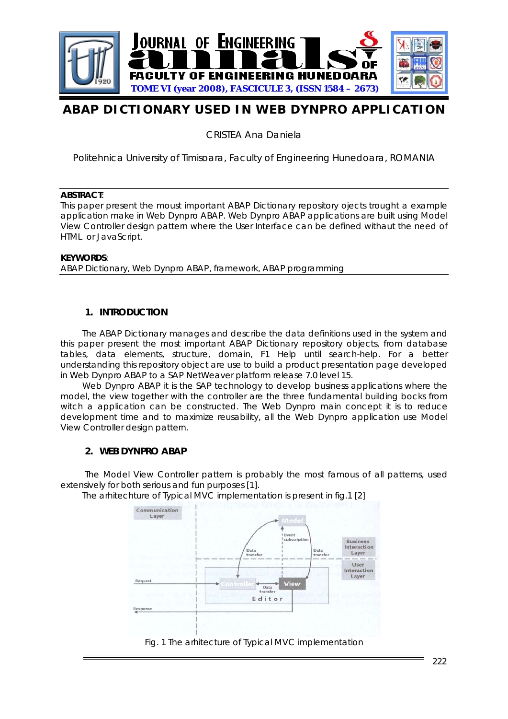

# **ABAP DICTIONARY USED IN WEB DYNPRO APPLICATION**

CRISTEA Ana Daniela

Politehnica University of Timisoara, Faculty of Engineering Hunedoara, ROMANIA

#### **ABSTRACT**:

This paper present the moust important ABAP Dictionary repository ojects trought a example application make in Web Dynpro ABAP. Web Dynpro ABAP applications are built using Model View Controller design pattern where the User Interface can be defined withaut the need of HTML or JavaScript.

#### **KEYWORDS**:

ABAP Dictionary, Web Dynpro ABAP, framework, ABAP programming

## **1. INTRODUCTION**

The ABAP Dictionary manages and describe the data definitions used in the system and this paper present the most important ABAP Dictionary repository objects, from database tables, data elements, structure, domain, F1 Help until search-help. For a better understanding this repository object are use to build a product presentation page developed in Web Dynpro ABAP to a SAP NetWeaver platform release 7.0 level 15.

Web Dynpro ABAP it is the SAP technology to develop business applications where the model, the view together with the controller are the three fundamental building bocks from witch a application can be constructed. The Web Dynpro main concept it is to reduce development time and to maximize reusability, all the Web Dynpro application use Model View Controller design pattern.

## **2. WEB DYNPRO ABAP**

The Model View Controller pattern is probably the most famous of all patterns, used extensively for both serious and fun purposes [1].

The arhitechture of Typical MVC implementation is present in fig.1 [2]

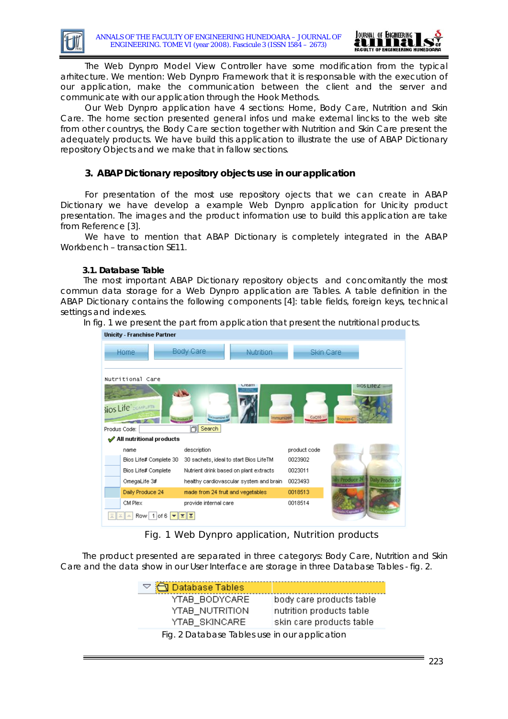

The Web Dynpro Model View Controller have some modification from the typical arhitecture. We mention: Web Dynpro Framework that it is responsable with the execution of our application, make the communication between the client and the server and communicate with our application through the Hook Methods.

Our Web Dynpro application have 4 sections: Home, Body Care, Nutrition and Skin Care. The home section presented general infos und make external lincks to the web site from other countrys, the Body Care section together with Nutrition and Skin Care present the adequately products. We have build this application to illustrate the use of ABAP Dictionary repository Objects and we make that in fallow sections.

## **3. ABAP Dictionary repository objects use in our application**

For presentation of the most use repository ojects that we can create in ABAP Dictionary we have develop a example Web Dynpro application for Unicity product presentation. The images and the product information use to build this application are take from Reference [3].

We have to mention that ABAP Dictionary is completely integrated in the ABAP Workbench – transaction SE11.

#### **3.1. Database Table**

The most important ABAP Dictionary repository objects and concomitantly the most commun data storage for a Web Dynpro application are Tables. A table definition in the ABAP Dictionary contains the following components [4]: table fields, foreign keys, technical settings and indexes.

In fig. 1 we present the part from application that present the nutritional products.



Fig. 1 Web Dynpro application, Nutrition products

The product presented are separated in three categorys: Body Care, Nutrition and Skin Care and the data show in our User Interface are storage in three Database Tables - fig. 2.

| $\triangledown$ $\bigodot$ Database Tables    |                          |
|-----------------------------------------------|--------------------------|
| YTAB_BODYCARE                                 | body care products table |
| YTAB_NUTRITION                                | nutrition products table |
| YTAB_SKINCARE                                 | skin care products table |
| Fig. 2 Database Tables use in our application |                          |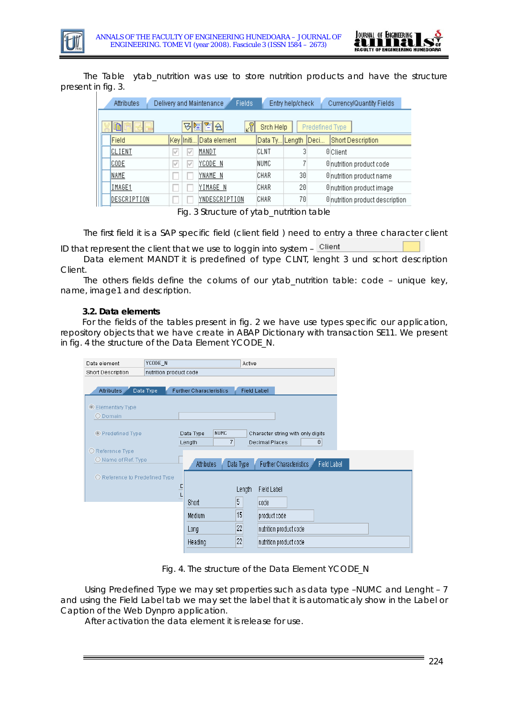



The Table ytab\_nutrition was use to store nutrition products and have the structure present in fig. 3.

| <b>Attributes</b> | Delivery and Maintenance | Fields:<br>Entry help/check                | Currency/Quantity Fields        |
|-------------------|--------------------------|--------------------------------------------|---------------------------------|
| B                 | ۴<br>쉌<br>외설             | $\sqrt{3}$<br>Srch Help<br>Predefined Type |                                 |
| Field             | Key Initi Data element   | Data Ty Length Deci                        | Short Description               |
| CLIENT            | MANDT<br>M<br>₽          | CLNT                                       | <b>O</b> Client                 |
| <b>CODE</b>       | YCODE N<br>M<br>∀        | NUMC                                       | <b>Onutrition product code</b>  |
| NAME              | YNAME N                  | 30<br>CHAR                                 | 0 nutrition product name        |
| IMAGE1            | YIMAGE N                 | 20<br>CHAR                                 | 0 nutrition product image       |
| DESCRIPTION       | YNDESCRIPTION            | 70<br>CHAR                                 | 0 nutrition product description |

Fig. 3 Structure of ytab\_nutrition table

The first field it is a SAP specific field (client field ) need to entry a three character client

ID that represent the client that we use to loggin into system  $-$  Client

Data element MANDT it is predefined of type CLNT, lenght 3 und schort description Client.

The others fields define the colums of our ytab\_nutrition table: code – unique key, name, image1 and description.

#### **3.2. Data elements**

For the fields of the tables present in fig. 2 we have use types specific our application, repository objects that we have create in ABAP Dictionary with transaction SE11. We present in fig. 4 the structure of the Data Element YCODE\_N.

| nutrition product code<br><b>Short Description</b>                                                                                                  |  |
|-----------------------------------------------------------------------------------------------------------------------------------------------------|--|
|                                                                                                                                                     |  |
|                                                                                                                                                     |  |
| Further Characteristics<br>Attributes<br>Data Type<br><b>Field Label</b>                                                                            |  |
|                                                                                                                                                     |  |
| <b>Elementary Type</b>                                                                                                                              |  |
| O Domain                                                                                                                                            |  |
| <b>NUMC</b><br>◎ Predefined Type<br>Data Type<br>Character string with only digits<br>$\overline{7}$<br>$\theta$<br><b>Decimal Places</b><br>Length |  |
| O Reference Type                                                                                                                                    |  |
| O Name of Ref. Type<br><b>Field Label</b><br>Further Characteristics<br><b>Attributes</b><br>Data Type                                              |  |
| O Reference to Predefined Type                                                                                                                      |  |
| D<br><b>Field Label</b><br>Length                                                                                                                   |  |
| 5<br><b>Short</b><br>code                                                                                                                           |  |
| 15<br>Medium<br>product code                                                                                                                        |  |
| 22<br>nutrition product code<br>Long                                                                                                                |  |
| 22<br>Heading<br>nutrition product code                                                                                                             |  |

Fig. 4. The structure of the Data Element YCODE\_N

Using Predefined Type we may set properties such as data type –NUMC and Lenght – 7 and using the Field Label tab we may set the label that it is automaticaly show in the Label or Caption of the Web Dynpro application.

After activation the data element it is release for use.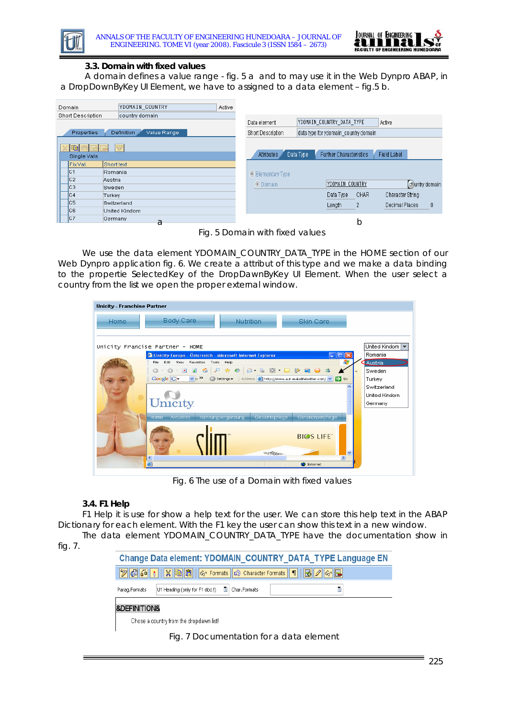



#### **3.3. Domain with fixed values**

A domain defines a value range - fig. 5 a and to may use it in the Web Dynpro ABAP, in a DropDownByKey UI Element, we have to assigned to a data element – fig.5 b.

| Domain            | YDOMAIN COUNTRY           | Active |                           |                                             |                            |
|-------------------|---------------------------|--------|---------------------------|---------------------------------------------|----------------------------|
| Short Description | country domain            |        |                           |                                             |                            |
|                   |                           |        | Data element              | YDOMAIN COUNTRY DATA TYPE                   | Active                     |
| Properties        | Value Range<br>Definition |        | Short Description         | data type for ydomain country domain        |                            |
|                   |                           |        |                           |                                             |                            |
|                   | ₩                         |        | Attributes                | <b>Further Characteristics</b><br>Data Type | <b>Field Label</b>         |
| Single Vals       |                           |        |                           |                                             |                            |
| Fix.Val.          | Short text                |        |                           |                                             |                            |
| IC1               | Romania                   |        | <b> ■ Elementary Type</b> |                                             |                            |
| lc2               | Austria                   |        |                           |                                             |                            |
| Iсз               | <b>Sweden</b>             |        | <b>O</b> Domain           | YDOMAIN COUNTRY                             | ලි)untry domain            |
| IC4               | Turkey                    |        |                           | CHAR<br>Data Type                           | Character String           |
| lc5               | Switzerland               |        |                           | 2<br>Length                                 | $\theta$<br>Decimal Places |
| lc6               | United Kindom             |        |                           |                                             |                            |
| IC7               | Germany<br>a              |        |                           | b                                           |                            |
|                   |                           |        |                           |                                             |                            |

Fig. 5 Domain with fixed values

We use the data element YDOMAIN\_COUNTRY\_DATA\_TYPE in the HOME section of our Web Dynpro application fig. 6. We create a attribut of this type and we make a data binding to the propertie SelectedKey of the DropDawnByKey UI Element. When the user select a country from the list we open the proper external window.

| <b>Unicity - Franchise Partner</b> |                                                                                                                                                                  |                |
|------------------------------------|------------------------------------------------------------------------------------------------------------------------------------------------------------------|----------------|
| Home.                              | Body Care<br><b>Nutrition</b><br><b>Skin Care</b>                                                                                                                |                |
|                                    | Unicity Francise Partner - HOME                                                                                                                                  | ∥United Kindom |
|                                    | Unicity Europe - Österreich - Microsoft Internet Explorer                                                                                                        | Romania        |
|                                    | Edit View<br>Favorites<br>Tools Help<br>File:                                                                                                                    | Austria        |
|                                    | $\bigcirc \cdot \bigcirc \cdot \bigcirc \cdot \square$<br>$\mathbb{B}$<br>論<br>26<br>$\mathcal{L}$<br>☆ ②<br>$\odot$ $\cdot$ $\blacksquare$<br>$\odot$<br>$\psi$ | Sweden         |
|                                    | $\vee$ $\rightarrow$<br><b>Google</b> G-<br>Address <b>C</b> http://www.aut.makelifebetter.com/<br>$\circ$<br>$\Rightarrow$ Go<br>Settings -                     | Turkey         |
|                                    | ㅅ                                                                                                                                                                | Switzerland    |
|                                    |                                                                                                                                                                  | United Kindom  |
|                                    | Unicity.                                                                                                                                                         | Germany        |
|                                    |                                                                                                                                                                  |                |
|                                    | <b>Aktuelles</b><br>Nahrungsergänzung<br>Gesichtspflege<br>Ganzkörperpflege<br>Home                                                                              |                |
|                                    |                                                                                                                                                                  |                |
|                                    | <b>BIGS LIFE</b>                                                                                                                                                 |                |
|                                    |                                                                                                                                                                  |                |
|                                    | $\checkmark$                                                                                                                                                     |                |
|                                    | $\rightarrow$<br>≺<br>g)<br><b>O</b> Internet                                                                                                                    |                |
|                                    |                                                                                                                                                                  |                |

Fig. 6 The use of a Domain with fixed values

## **3.4. F1 Help**

F1 Help it is use for show a help text for the user. We can store this help text in the ABAP Dictionary for each element. With the F1 key the user can show this text in a new window.

The data element YDOMAIN\_COUNTRY\_DATA\_TYPE have the documentation show in fig. 7.

|               | Change Data element: YDOMAIN COUNTRY DATA TYPE Language EN                                                                                                                                                                                                                                                                                                                                                                                                    |
|---------------|---------------------------------------------------------------------------------------------------------------------------------------------------------------------------------------------------------------------------------------------------------------------------------------------------------------------------------------------------------------------------------------------------------------------------------------------------------------|
|               | $\boxed{\textcircled{?}} \ \ \boxed{\textcircled{3}} \ \ \boxed{\textcircled{4}} \ \ \boxed{\textcircled{8}} \ \ \boxed{\textcircled{6}} \ \ \boxed{\textcircled{6}} \ \ \boxed{\textcircled{6}} \ \ \boxed{\textcircled{7}} \ \ \boxed{\textcircled{8}} \ \ \boxed{\textcircled{9}} \ \ \boxed{\textcircled{8}} \ \ \boxed{\textcircled{9}} \ \ \boxed{\textcircled{9}} \ \ \boxed{\textcircled{9}} \ \ \boxed{\textcircled{9}} \ \ \boxed{\textcircled{9}}$ |
| Parag.Formats | U1 Heading (only for F1 doc.!) 图 Char.Formats<br>阊                                                                                                                                                                                                                                                                                                                                                                                                            |

&DEFINITION&

Chose a country from the dropdawn list!

Fig. 7 Documentation for a data element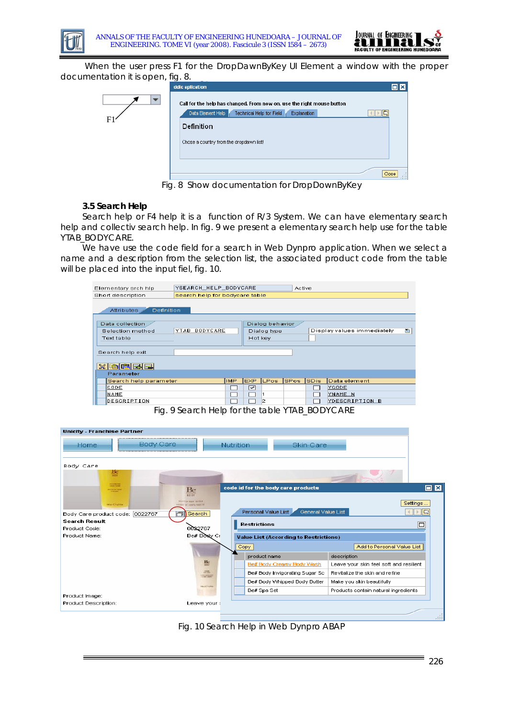



When the user press F1 for the DropDawnByKey UI Element a window with the proper documentation it is open, fig. 8.

|   | ddic aplication                                                                                                                                             | $\square$ $\times$ |
|---|-------------------------------------------------------------------------------------------------------------------------------------------------------------|--------------------|
| F | Call for the help has changed. From now on, use the right mouse button<br>Data Element Help<br>Technical Help for Field<br><b>Explanation</b><br>Definition | le                 |
|   | Chose a country from the dropdawn list!                                                                                                                     | Close<br>122       |
|   | Fig. 8 Show documentation for DropDownByKey                                                                                                                 |                    |

## **3.5 Search Help**

Search help or F4 help it is a function of R/3 System. We can have elementary search help and collectiv search help. In fig. 9 we present a elementary search help use for the table YTAB\_BODYCARE.

We have use the code field for a search in Web Dynpro application. When we select a name and a description from the selection list, the associated product code from the table will be placed into the input fiel, fig. 10.

| Elementary srch hip                    | YSEARCH_HELP_BODYCARE<br>Active |      |            |                 |        |             |                            |   |
|----------------------------------------|---------------------------------|------|------------|-----------------|--------|-------------|----------------------------|---|
| Short description                      | search help for bodycare table  |      |            |                 |        |             |                            |   |
| <b>Attributes</b><br><b>Definition</b> |                                 |      |            |                 |        |             |                            |   |
| Data collection                        |                                 |      |            | Dialog behavior |        |             |                            |   |
| Selection method                       | YTAB BODYCARE                   |      |            | Dialog type     |        |             | Display values immediately | G |
| <b>Text table</b>                      |                                 |      | Hot key    |                 |        |             |                            |   |
|                                        |                                 |      |            |                 |        |             |                            |   |
| Search help exit                       |                                 |      |            |                 |        |             |                            |   |
| ※ 画面园园<br>Parameter                    |                                 |      |            |                 |        |             |                            |   |
| Search help parameter                  |                                 | IMP. | <b>EXP</b> | LPos            | ISPos. | <b>SDis</b> | Data element               |   |
| CODE                                   |                                 |      | ☞          |                 |        |             | YCODE                      |   |
| <b>NAME</b>                            |                                 |      |            |                 |        |             | YNAME N                    |   |
| DESCRIPTION                            |                                 |      |            | 2               |        |             | YDESCRIPTION B             |   |

Fig. 9 Search Help for the table YTAB\_BODYCARE

| <b>Unicity - Franchise Partner</b> |                                                             |                                               |                                         |
|------------------------------------|-------------------------------------------------------------|-----------------------------------------------|-----------------------------------------|
| <b>Body Care</b><br>Home           |                                                             | Nutrition<br>Skin Care                        |                                         |
| Body Care<br>Вc                    |                                                             |                                               |                                         |
| 1441                               |                                                             |                                               |                                         |
| <b>HOMES</b><br><b>HISTORY AND</b> | Be<br><b>BODY</b>                                           | code id for the body care products            | $\square$ $\times$                      |
| macratta                           | WIDTER ABOVE WATER<br><b><i>ENTERT THE CORPS FOURTH</i></b> |                                               | Settings                                |
| Body Care product code: 0022767    | m<br>Search                                                 | General Value List<br>Personal Value List     | ▭                                       |
| Search Result                      |                                                             | <b>Restrictions</b>                           | □                                       |
| Product Code:                      | 0022767                                                     |                                               |                                         |
| Product Name:                      | Be# Body Cr                                                 | <b>Value List (According to Restrictions)</b> |                                         |
|                                    |                                                             | Copy                                          | Add to Personal Value List              |
|                                    |                                                             | product name                                  | description                             |
|                                    | 監                                                           | Be# Body Creamy Body Wash                     | Leave your skin feel soft and resilient |
|                                    | $\frac{1}{2}$<br><b>The Great</b>                           | Be# Body Invigorating Sugar Sc                | Revitalize the skin and refine          |
|                                    |                                                             | Be# Body Whipped Body Butter                  | Make you skin beautifully               |
|                                    | <b>HELPETERS</b>                                            | Be# Spa Set                                   | Products contain natural ingredients    |
| Product Image:                     |                                                             |                                               |                                         |
| Product Description:               | Leave your :                                                |                                               |                                         |
|                                    |                                                             |                                               |                                         |

Fig. 10 Search Help in Web Dynpro ABAP